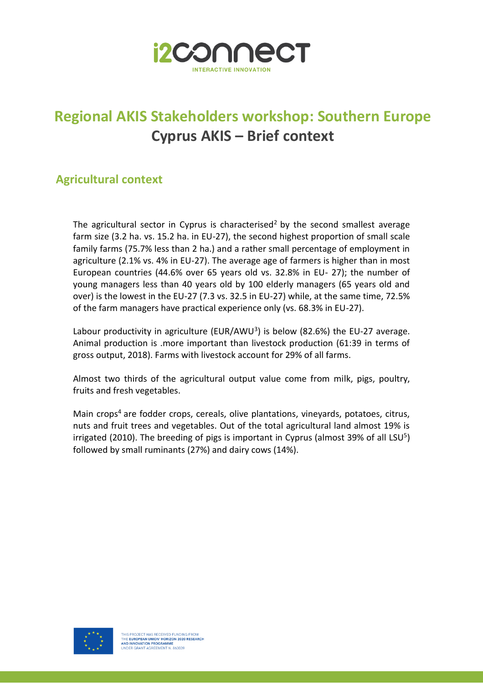

## **Regional AKIS Stakeholders workshop: Southern Europe Cyprus AKIS – Brief context**

### **Agricultural context**

The agricultural sector in Cyprus is characterised<sup>2</sup> by the second smallest average farm size (3.2 ha. vs. 15.2 ha. in EU-27), the second highest proportion of small scale family farms (75.7% less than 2 ha.) and a rather small percentage of employment in agriculture (2.1% vs. 4% in EU-27). The average age of farmers is higher than in most European countries (44.6% over 65 years old vs. 32.8% in EU- 27); the number of young managers less than 40 years old by 100 elderly managers (65 years old and over) is the lowest in the EU-27 (7.3 vs. 32.5 in EU-27) while, at the same time, 72.5% of the farm managers have practical experience only (vs. 68.3% in EU-27).

Labour productivity in agriculture (EUR/AWU<sup>3</sup>) is below (82.6%) the EU-27 average. Animal production is .more important than livestock production (61:39 in terms of gross output, 2018). Farms with livestock account for 29% of all farms.

Almost two thirds of the agricultural output value come from milk, pigs, poultry, fruits and fresh vegetables.

Main crops<sup>4</sup> are fodder crops, cereals, olive plantations, vineyards, potatoes, citrus, nuts and fruit trees and vegetables. Out of the total agricultural land almost 19% is irrigated (2010). The breeding of pigs is important in Cyprus (almost 39% of all LSU<sup>5</sup>) followed by small ruminants (27%) and dairy cows (14%).

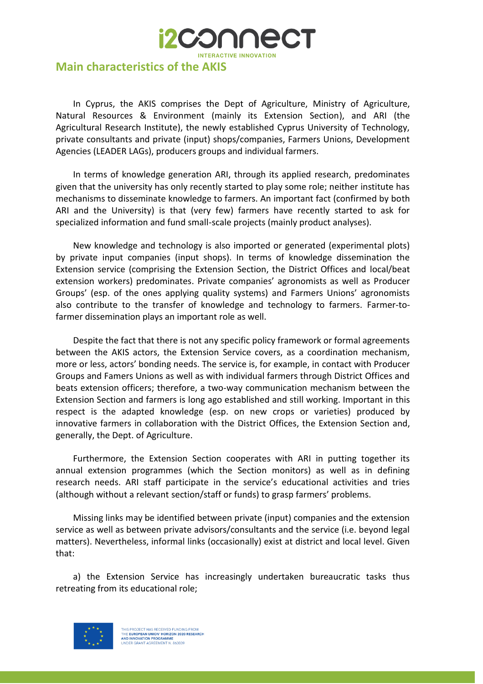

In Cyprus, the AKIS comprises the Dept of Agriculture, Ministry of Agriculture, Natural Resources & Environment (mainly its Extension Section), and ARI (the Agricultural Research Institute), the newly established Cyprus University of Technology, private consultants and private (input) shops/companies, Farmers Unions, Development Agencies (LEADER LAGs), producers groups and individual farmers.

**i2CO∩∩e** 

In terms of knowledge generation ARI, through its applied research, predominates given that the university has only recently started to play some role; neither institute has mechanisms to disseminate knowledge to farmers. An important fact (confirmed by both ARI and the University) is that (very few) farmers have recently started to ask for specialized information and fund small-scale projects (mainly product analyses).

New knowledge and technology is also imported or generated (experimental plots) by private input companies (input shops). In terms of knowledge dissemination the Extension service (comprising the Extension Section, the District Offices and local/beat extension workers) predominates. Private companies' agronomists as well as Producer Groups' (esp. of the ones applying quality systems) and Farmers Unions' agronomists also contribute to the transfer of knowledge and technology to farmers. Farmer-tofarmer dissemination plays an important role as well.

Despite the fact that there is not any specific policy framework or formal agreements between the AKIS actors, the Extension Service covers, as a coordination mechanism, more or less, actors' bonding needs. The service is, for example, in contact with Producer Groups and Famers Unions as well as with individual farmers through District Offices and beats extension officers; therefore, a two-way communication mechanism between the Extension Section and farmers is long ago established and still working. Important in this respect is the adapted knowledge (esp. on new crops or varieties) produced by innovative farmers in collaboration with the District Offices, the Extension Section and, generally, the Dept. of Agriculture.

Furthermore, the Extension Section cooperates with ARI in putting together its annual extension programmes (which the Section monitors) as well as in defining research needs. ARI staff participate in the service's educational activities and tries (although without a relevant section/staff or funds) to grasp farmers' problems.

Missing links may be identified between private (input) companies and the extension service as well as between private advisors/consultants and the service (i.e. beyond legal matters). Nevertheless, informal links (occasionally) exist at district and local level. Given that:

a) the Extension Service has increasingly undertaken bureaucratic tasks thus retreating from its educational role;



THIS PROJECT HAS RECEIVED FUNDING FROM<br>THE **EUROPEAN UNION' HORIZON 2020 RESEARCH**<br><mark>AND INNOVATION PROGRAMME</mark><br>UNDER GRANT AGREEMENT N. 863039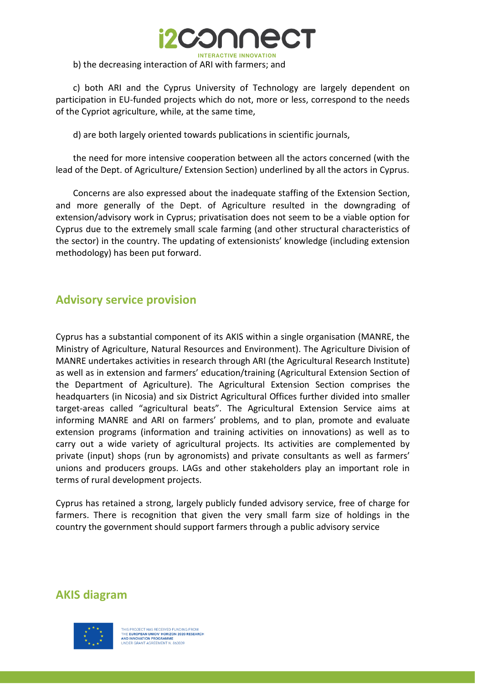

c) both ARI and the Cyprus University of Technology are largely dependent on participation in EU-funded projects which do not, more or less, correspond to the needs of the Cypriot agriculture, while, at the same time,

d) are both largely oriented towards publications in scientific journals,

the need for more intensive cooperation between all the actors concerned (with the lead of the Dept. of Agriculture/ Extension Section) underlined by all the actors in Cyprus.

Concerns are also expressed about the inadequate staffing of the Extension Section, and more generally of the Dept. of Agriculture resulted in the downgrading of extension/advisory work in Cyprus; privatisation does not seem to be a viable option for Cyprus due to the extremely small scale farming (and other structural characteristics of the sector) in the country. The updating of extensionists' knowledge (including extension methodology) has been put forward.

#### **Advisory service provision**

Cyprus has a substantial component of its AKIS within a single organisation (MANRE, the Ministry of Agriculture, Natural Resources and Environment). The Agriculture Division of MANRE undertakes activities in research through ARI (the Agricultural Research Institute) as well as in extension and farmers' education/training (Agricultural Extension Section of the Department of Agriculture). The Agricultural Extension Section comprises the headquarters (in Nicosia) and six District Agricultural Offices further divided into smaller target-areas called "agricultural beats". The Agricultural Extension Service aims at informing MANRE and ARI on farmers' problems, and to plan, promote and evaluate extension programs (information and training activities on innovations) as well as to carry out a wide variety of agricultural projects. Its activities are complemented by private (input) shops (run by agronomists) and private consultants as well as farmers' unions and producers groups. LAGs and other stakeholders play an important role in terms of rural development projects.

Cyprus has retained a strong, largely publicly funded advisory service, free of charge for farmers. There is recognition that given the very small farm size of holdings in the country the government should support farmers through a public advisory service

#### **AKIS diagram**